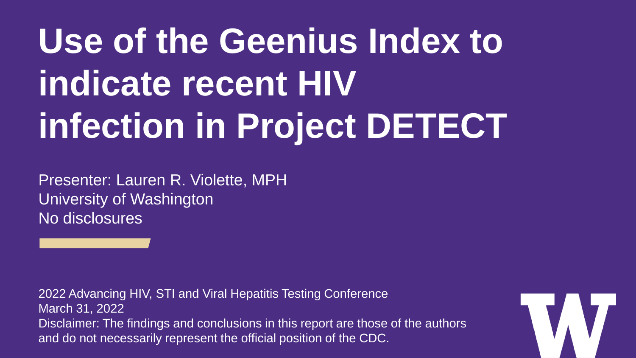# **Use of the Geenius Index to indicate recent HIV infection in Project DETECT**

Presenter: Lauren R. Violette, MPH University of Washington No disclosures

2022 Advancing HIV, STI and Viral Hepatitis Testing Conference March 31, 2022 Disclaimer: The findings and conclusions in this report are those of the authors and do not necessarily represent the official position of the CDC.

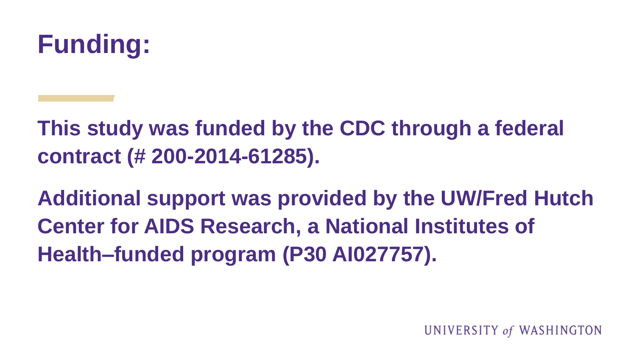

**This study was funded by the CDC through a federal contract (# 200-2014-61285).** 

**Additional support was provided by the UW/Fred Hutch Center for AIDS Research, a National Institutes of Health–funded program (P30 AI027757).**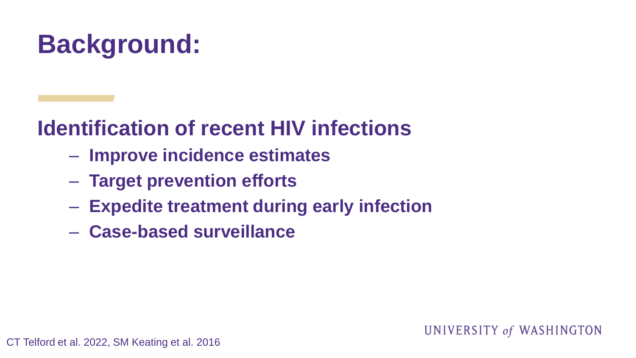## **Background:**

#### **Identification of recent HIV infections**

- **Improve incidence estimates**
- **Target prevention efforts**
- **Expedite treatment during early infection**
- **Case-based surveillance**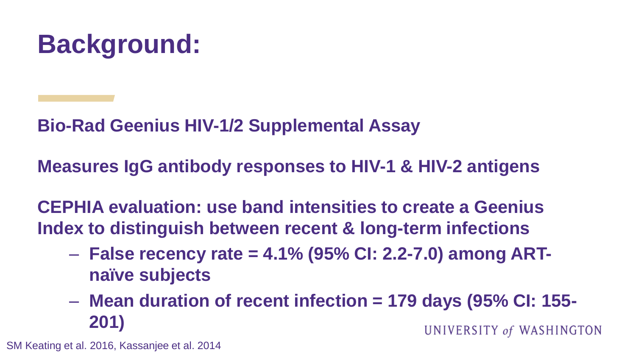

**Bio-Rad Geenius HIV-1/2 Supplemental Assay**

**Measures IgG antibody responses to HIV-1 & HIV-2 antigens**

**CEPHIA evaluation: use band intensities to create a Geenius Index to distinguish between recent & long-term infections**

- **False recency rate = 4.1% (95% CI: 2.2-7.0) among ARTnaïve subjects**
- **Mean duration of recent infection = 179 days (95% CI: 155- 201)** UNIVERSITY of WASHINGTON

SM Keating et al. 2016, Kassanjee et al. 2014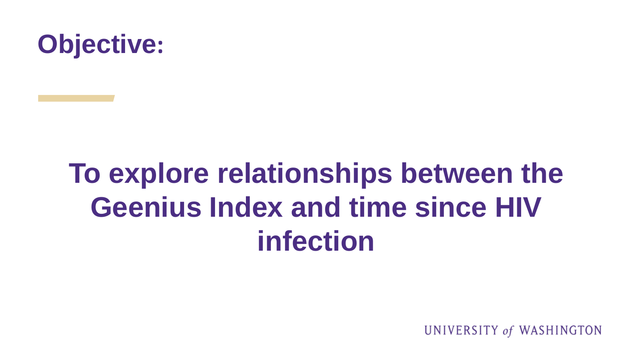

## **To explore relationships between the Geenius Index and time since HIV infection**

UNIVERSITY of WASHINGTON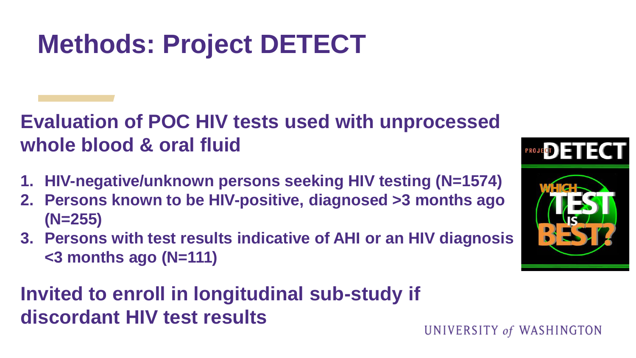## **Methods: Project DETECT**

#### **Evaluation of POC HIV tests used with unprocessed whole blood & oral fluid**

- **1. HIV-negative/unknown persons seeking HIV testing (N=1574)**
- **2. Persons known to be HIV-positive, diagnosed >3 months ago (N=255)**
- **3. Persons with test results indicative of AHI or an HIV diagnosis <3 months ago (N=111)**

#### **Invited to enroll in longitudinal sub-study if discordant HIV test results**

PROJECT ) E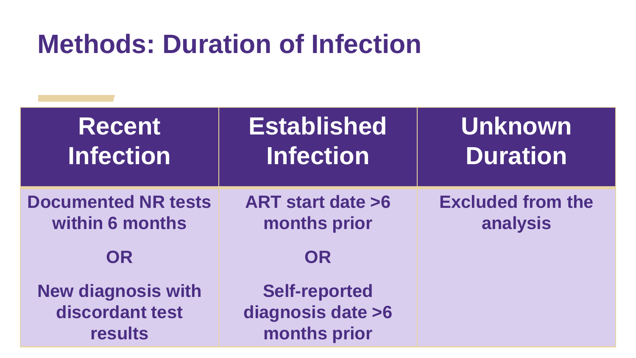### **Methods: Duration of Infection**

| <b>Recent</b><br><b>Infection</b>                              | <b>Established</b><br><b>Infection</b>                    | <b>Unknown</b><br><b>Duration</b>    |
|----------------------------------------------------------------|-----------------------------------------------------------|--------------------------------------|
| <b>Documented NR tests</b><br>within 6 months<br><b>OR</b>     | <b>ART start date &gt;6</b><br>months prior<br><b>OR</b>  | <b>Excluded from the</b><br>analysis |
| <b>New diagnosis with</b><br>discordant test<br><b>results</b> | <b>Self-reported</b><br>diagnosis date >6<br>months prior |                                      |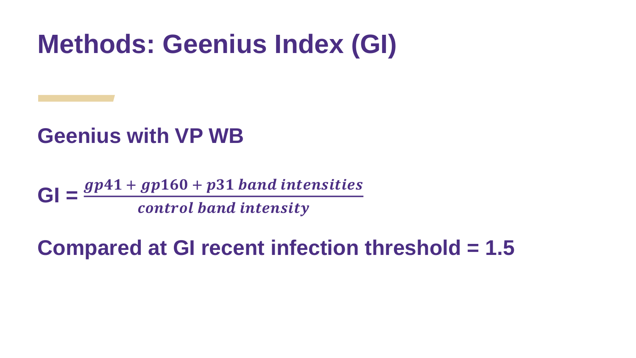### **Methods: Geenius Index (GI)**

#### **Geenius with VP WB**

 $GI = \frac{gp41 + gp160 + p31 \text{ band intensities}}{gI}$ control band intensity

#### **Compared at GI recent infection threshold = 1.5**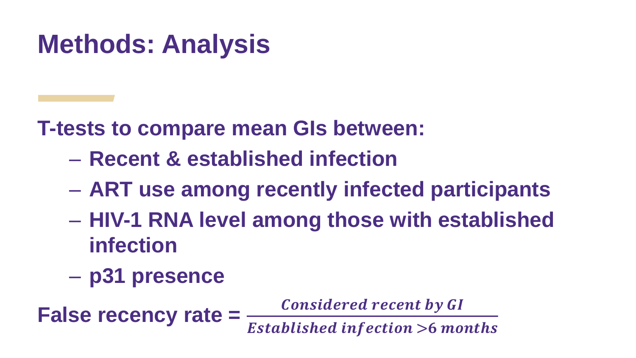## **Methods: Analysis**

**T-tests to compare mean GIs between:**

- **Recent & established infection**
- **ART use among recently infected participants**
- **HIV-1 RNA level among those with established infection**
- **p31 presence**

**False recency rate =**  $\frac{Considered recent by GI}{}$ **Established infection >6 months**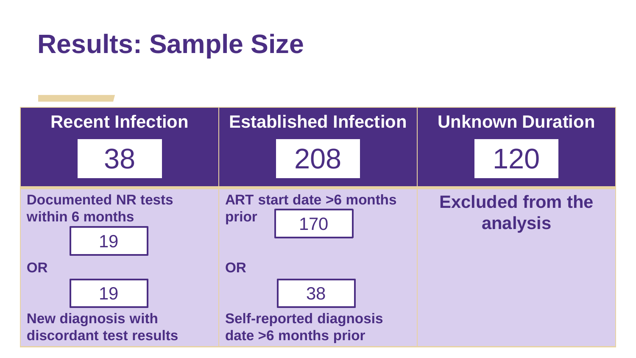## **Results: Sample Size**

| <b>Recent Infection</b>                              |                                                     | <b>Established Infection</b>                           |           |                                          | <b>Unknown Duration</b> |  |                                      |  |  |
|------------------------------------------------------|-----------------------------------------------------|--------------------------------------------------------|-----------|------------------------------------------|-------------------------|--|--------------------------------------|--|--|
|                                                      | 38                                                  |                                                        |           | 208                                      |                         |  | 120                                  |  |  |
|                                                      | <b>Documented NR tests</b><br>within 6 months<br>19 |                                                        |           | ART start date >6 months<br>prior<br>170 |                         |  | <b>Excluded from the</b><br>analysis |  |  |
| <b>OR</b>                                            |                                                     |                                                        | <b>OR</b> |                                          |                         |  |                                      |  |  |
|                                                      | 19                                                  |                                                        |           | 38                                       |                         |  |                                      |  |  |
| <b>New diagnosis with</b><br>discordant test results |                                                     | <b>Self-reported diagnosis</b><br>date >6 months prior |           |                                          |                         |  |                                      |  |  |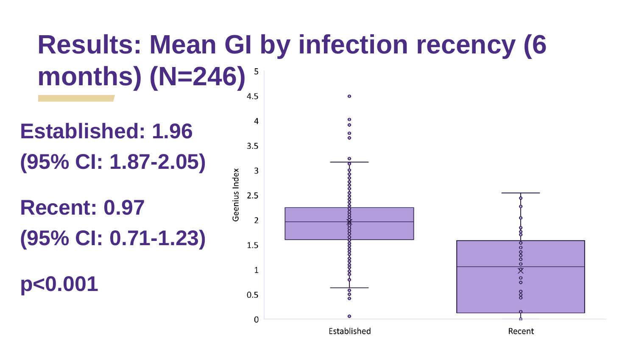## **Results: Mean GI by infection recency (6 months) (N=246)**

**Established: 1.96 (95% CI: 1.87-2.05)**

**Recent: 0.97 (95% CI: 0.71-1.23)**

**p<0.001**

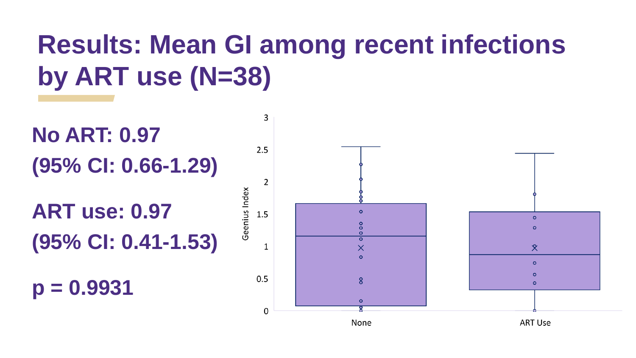## **Results: Mean GI among recent infections by ART use (N=38)**



None

**ART Use**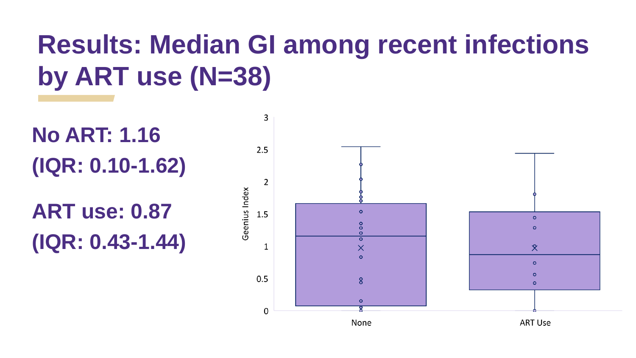## **Results: Median GI among recent infections by ART use (N=38)**

**No ART: 1.16 (IQR: 0.10-1.62)**

**ART use: 0.87 (IQR: 0.43-1.44)**

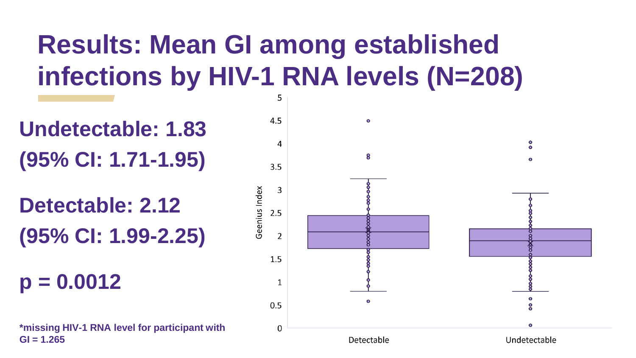## **Results: Mean GI among established infections by HIV-1 RNA levels (N=208)**

**Undetectable: 1.83 (95% CI: 1.71-1.95)**

**Detectable: 2.12 (95% CI: 1.99-2.25)**

**p = 0.0012**

**\*missing HIV-1 RNA level for participant with GI = 1.265** 

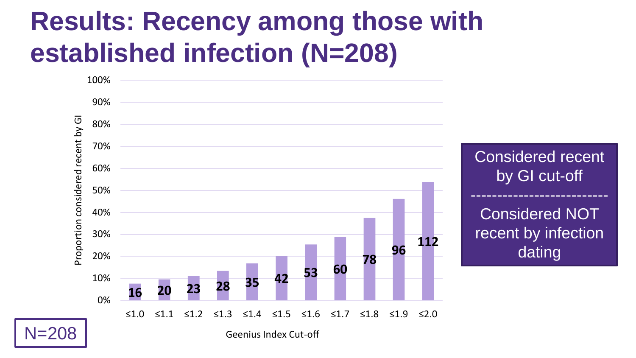## **Results: Recency among those with established infection (N=208)**

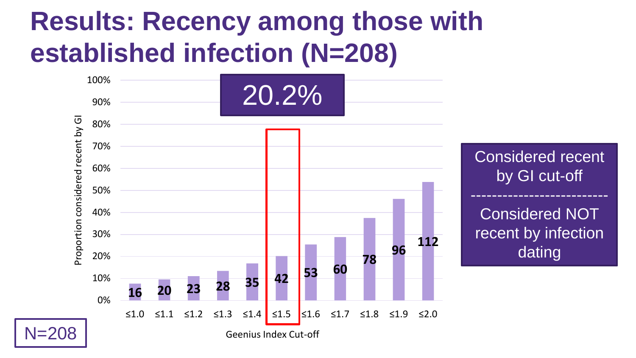## **Results: Recency among those with established infection (N=208)**

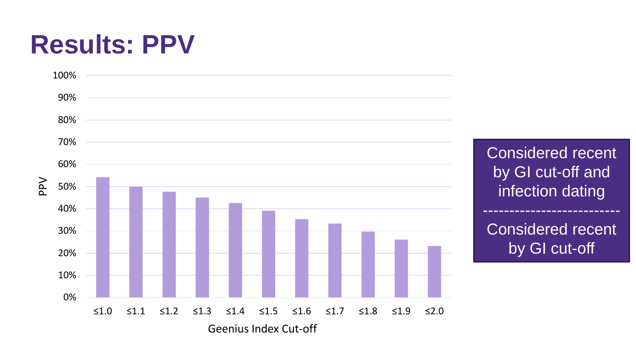### **Results: PPV**



Considered recent by GI cut-off and infection dating -------------------------- Considered recent by GI cut-off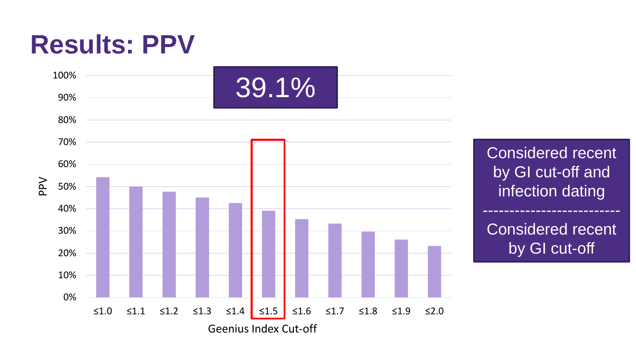#### **Results: PPV**



Considered recent by GI cut-off and infection dating -------------------------- Considered recent by GI cut-off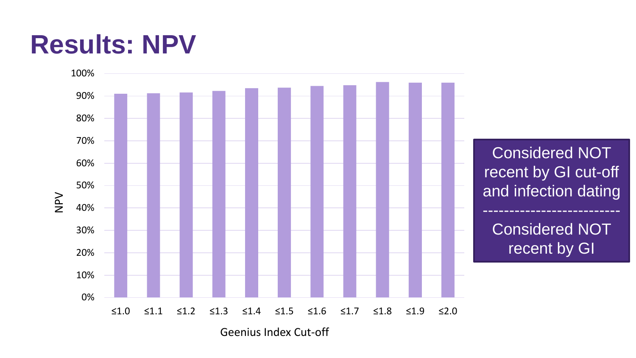## **Results: NPV**



Geenius Index Cut-off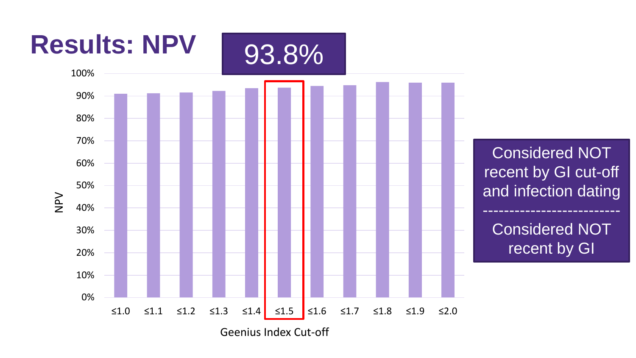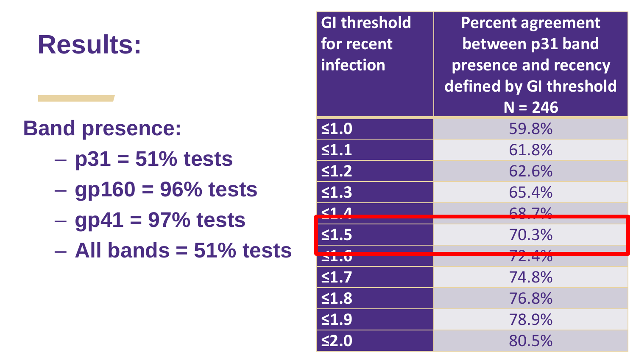## **Results:**

#### **Band presence:**

- **p31 = 51% tests**
- **gp160 = 96% tests**
- **gp41 = 97% tests**
- **All bands = 51% tests**

| <b>GI threshold</b><br>for recent<br>infection | <b>Percent agreement</b><br>between p31 band<br>presence and recency<br>defined by GI threshold<br>$N = 246$ |
|------------------------------------------------|--------------------------------------------------------------------------------------------------------------|
| $\leq 1.0$                                     | 59.8%                                                                                                        |
| $\leq 1.1$                                     | 61.8%                                                                                                        |
| $\leq 1.2$                                     | 62.6%                                                                                                        |
| $\leq 1.3$                                     | 65.4%                                                                                                        |
| 21 <sub>1</sub>                                | 6870/                                                                                                        |
| $\leq 1.5$                                     | 70.3%                                                                                                        |
| <b>21.0</b>                                    | 72.470                                                                                                       |
| $\leq 1.7$                                     | 74.8%                                                                                                        |
| $\leq 1.8$                                     | 76.8%                                                                                                        |
| $\leq 1.9$                                     | 78.9%                                                                                                        |
| $\leq$ 2.0                                     | 80.5%                                                                                                        |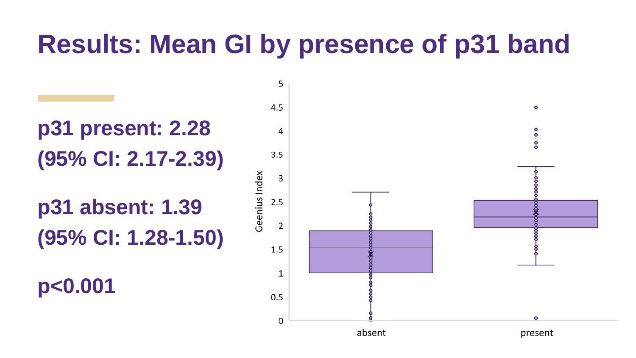### **Results: Mean GI by presence of p31 band**

### **p31 present: 2.28 (95% CI: 2.17-2.39)**

**p31 absent: 1.39 (95% CI: 1.28-1.50)**

**p<0.001**

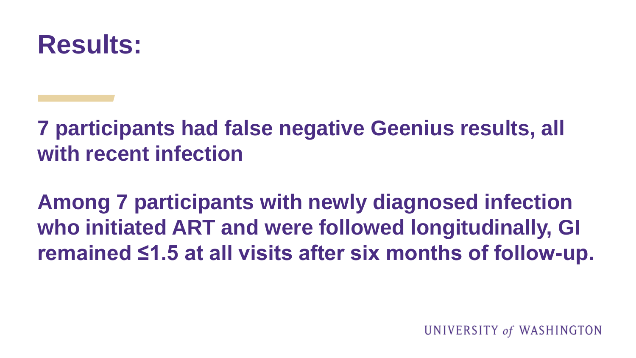

**7 participants had false negative Geenius results, all with recent infection**

**Among 7 participants with newly diagnosed infection who initiated ART and were followed longitudinally, GI remained ≤1.5 at all visits after six months of follow-up.**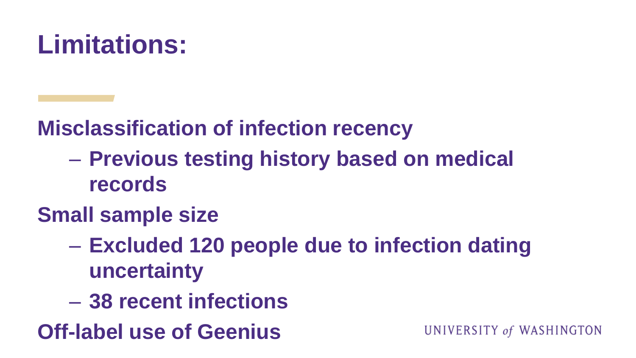

**Misclassification of infection recency**

- **Previous testing history based on medical records**
- **Small sample size**
	- **Excluded 120 people due to infection dating uncertainty**
	- **38 recent infections**

**Off-label use of Geenius**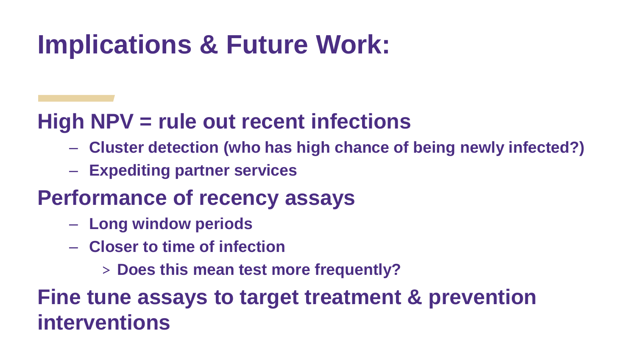## **Implications & Future Work:**

#### **High NPV = rule out recent infections**

- **Cluster detection (who has high chance of being newly infected?)**
- **Expediting partner services**

#### **Performance of recency assays**

- **Long window periods**
- **Closer to time of infection**
	- > **Does this mean test more frequently?**

**Fine tune assays to target treatment & prevention interventions**